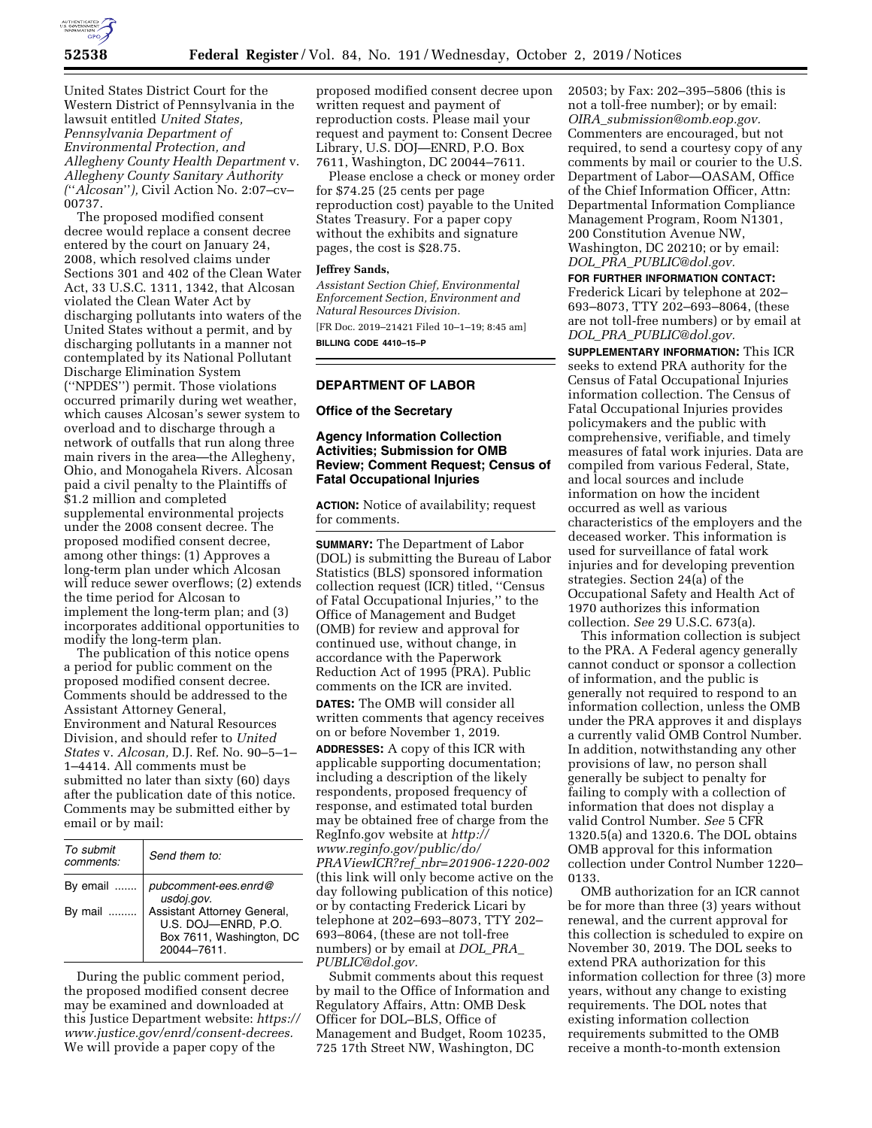

United States District Court for the Western District of Pennsylvania in the lawsuit entitled *United States, Pennsylvania Department of Environmental Protection, and Allegheny County Health Department* v. *Allegheny County Sanitary Authority (*''*Alcosan*''*),* Civil Action No. 2:07–cv– 00737.

The proposed modified consent decree would replace a consent decree entered by the court on January 24, 2008, which resolved claims under Sections 301 and 402 of the Clean Water Act, 33 U.S.C. 1311, 1342, that Alcosan violated the Clean Water Act by discharging pollutants into waters of the United States without a permit, and by discharging pollutants in a manner not contemplated by its National Pollutant Discharge Elimination System (''NPDES'') permit. Those violations occurred primarily during wet weather, which causes Alcosan's sewer system to overload and to discharge through a network of outfalls that run along three main rivers in the area—the Allegheny, Ohio, and Monogahela Rivers. Alcosan paid a civil penalty to the Plaintiffs of \$1.2 million and completed supplemental environmental projects under the 2008 consent decree. The proposed modified consent decree, among other things: (1) Approves a long-term plan under which Alcosan will reduce sewer overflows; (2) extends the time period for Alcosan to implement the long-term plan; and (3) incorporates additional opportunities to modify the long-term plan.

The publication of this notice opens a period for public comment on the proposed modified consent decree. Comments should be addressed to the Assistant Attorney General, Environment and Natural Resources Division, and should refer to *United States* v. *Alcosan,* D.J. Ref. No. 90–5–1– 1–4414. All comments must be submitted no later than sixty (60) days after the publication date of this notice. Comments may be submitted either by email or by mail:

| To submit<br>comments: | Send them to:                                                                                |
|------------------------|----------------------------------------------------------------------------------------------|
| By email               | pubcomment-ees.enrd@<br>usdoj.gov.                                                           |
| By mail                | Assistant Attorney General,<br>U.S. DOJ-ENRD, P.O.<br>Box 7611, Washington, DC<br>20044-7611 |

During the public comment period, the proposed modified consent decree may be examined and downloaded at this Justice Department website: *[https://](https://www.justice.gov/enrd/consent-decrees)  [www.justice.gov/enrd/consent-decrees.](https://www.justice.gov/enrd/consent-decrees)*  We will provide a paper copy of the

proposed modified consent decree upon written request and payment of reproduction costs. Please mail your request and payment to: Consent Decree Library, U.S. DOJ—ENRD, P.O. Box 7611, Washington, DC 20044–7611.

Please enclose a check or money order for \$74.25 (25 cents per page reproduction cost) payable to the United States Treasury. For a paper copy without the exhibits and signature pages, the cost is \$28.75.

#### **Jeffrey Sands,**

*Assistant Section Chief, Environmental Enforcement Section, Environment and Natural Resources Division.*  [FR Doc. 2019–21421 Filed 10–1–19; 8:45 am] **BILLING CODE 4410–15–P** 

#### **DEPARTMENT OF LABOR**

**Office of the Secretary** 

# **Agency Information Collection Activities; Submission for OMB Review; Comment Request; Census of Fatal Occupational Injuries**

**ACTION:** Notice of availability; request for comments.

**SUMMARY:** The Department of Labor (DOL) is submitting the Bureau of Labor Statistics (BLS) sponsored information collection request (ICR) titled, ''Census of Fatal Occupational Injuries,'' to the Office of Management and Budget (OMB) for review and approval for continued use, without change, in accordance with the Paperwork Reduction Act of 1995 (PRA). Public comments on the ICR are invited. **DATES:** The OMB will consider all written comments that agency receives on or before November 1, 2019.

**ADDRESSES:** A copy of this ICR with applicable supporting documentation; including a description of the likely respondents, proposed frequency of response, and estimated total burden may be obtained free of charge from the RegInfo.gov website at *[http://](http://www.reginfo.gov/public/do/PRAViewICR?ref_nbr=201906-1220-002) [www.reginfo.gov/public/do/](http://www.reginfo.gov/public/do/PRAViewICR?ref_nbr=201906-1220-002)  PRAViewICR?ref*\_*[nbr=201906-1220-002](http://www.reginfo.gov/public/do/PRAViewICR?ref_nbr=201906-1220-002)*  (this link will only become active on the day following publication of this notice) or by contacting Frederick Licari by telephone at 202–693–8073, TTY 202– 693–8064, (these are not toll-free numbers) or by email at *[DOL](mailto:DOL_PRA_PUBLIC@dol.gov)*\_*PRA*\_ *[PUBLIC@dol.gov.](mailto:DOL_PRA_PUBLIC@dol.gov)* 

Submit comments about this request by mail to the Office of Information and Regulatory Affairs, Attn: OMB Desk Officer for DOL–BLS, Office of Management and Budget, Room 10235, 725 17th Street NW, Washington, DC

20503; by Fax: 202–395–5806 (this is not a toll-free number); or by email: *OIRA*\_*[submission@omb.eop.gov.](mailto:OIRA_submission@omb.eop.gov)*  Commenters are encouraged, but not required, to send a courtesy copy of any comments by mail or courier to the U.S. Department of Labor—OASAM, Office of the Chief Information Officer, Attn: Departmental Information Compliance Management Program, Room N1301, 200 Constitution Avenue NW, Washington, DC 20210; or by email: *DOL*\_*PRA*\_*[PUBLIC@dol.gov.](mailto:DOL_PRA_PUBLIC@dol.gov)* 

**FOR FURTHER INFORMATION CONTACT:**  Frederick Licari by telephone at 202– 693–8073, TTY 202–693–8064, (these are not toll-free numbers) or by email at *DOL*\_*PRA*\_*[PUBLIC@dol.gov.](mailto:DOL_PRA_PUBLIC@dol.gov)* 

**SUPPLEMENTARY INFORMATION:** This ICR seeks to extend PRA authority for the Census of Fatal Occupational Injuries information collection. The Census of Fatal Occupational Injuries provides policymakers and the public with comprehensive, verifiable, and timely measures of fatal work injuries. Data are compiled from various Federal, State, and local sources and include information on how the incident occurred as well as various characteristics of the employers and the deceased worker. This information is used for surveillance of fatal work injuries and for developing prevention strategies. Section 24(a) of the Occupational Safety and Health Act of 1970 authorizes this information collection. *See* 29 U.S.C. 673(a).

This information collection is subject to the PRA. A Federal agency generally cannot conduct or sponsor a collection of information, and the public is generally not required to respond to an information collection, unless the OMB under the PRA approves it and displays a currently valid OMB Control Number. In addition, notwithstanding any other provisions of law, no person shall generally be subject to penalty for failing to comply with a collection of information that does not display a valid Control Number. *See* 5 CFR 1320.5(a) and 1320.6. The DOL obtains OMB approval for this information collection under Control Number 1220– 0133.

OMB authorization for an ICR cannot be for more than three (3) years without renewal, and the current approval for this collection is scheduled to expire on November 30, 2019. The DOL seeks to extend PRA authorization for this information collection for three (3) more years, without any change to existing requirements. The DOL notes that existing information collection requirements submitted to the OMB receive a month-to-month extension